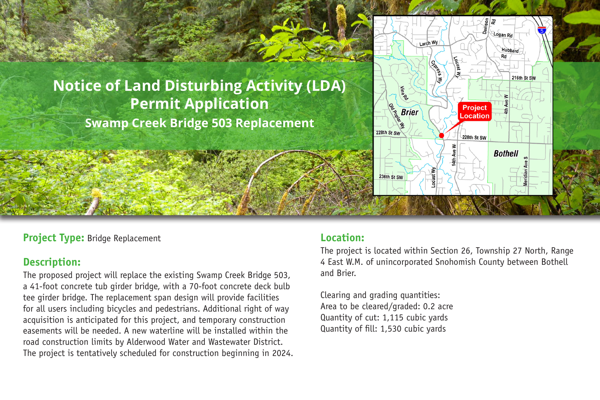

# **Notice of Land Disturbing Activity (LDA) Permit Application Swamp Creek Bridge 503 Replacement**

#### **Project Type:** Bridge Replacement

# **Description:**

The proposed project will replace the existing Swamp Creek Bridge 503, a 41-foot concrete tub girder bridge, with a 70-foot concrete deck bulb tee girder bridge. The replacement span design will provide facilities for all users including bicycles and pedestrians. Additional right of way acquisition is anticipated for this project, and temporary construction easements will be needed. A new waterline will be installed within the road construction limits by Alderwood Water and Wastewater District. The project is tentatively scheduled for construction beginning in 2024.

## **Location:**

The project is located within Section 26, Township 27 North, Range 4 East W.M. of unincorporated Snohomish County between Bothell and Brier.

Clearing and grading quantities: Area to be cleared/graded: 0.2 acre Quantity of cut: 1,115 cubic yards Quantity of fill: 1,530 cubic yards